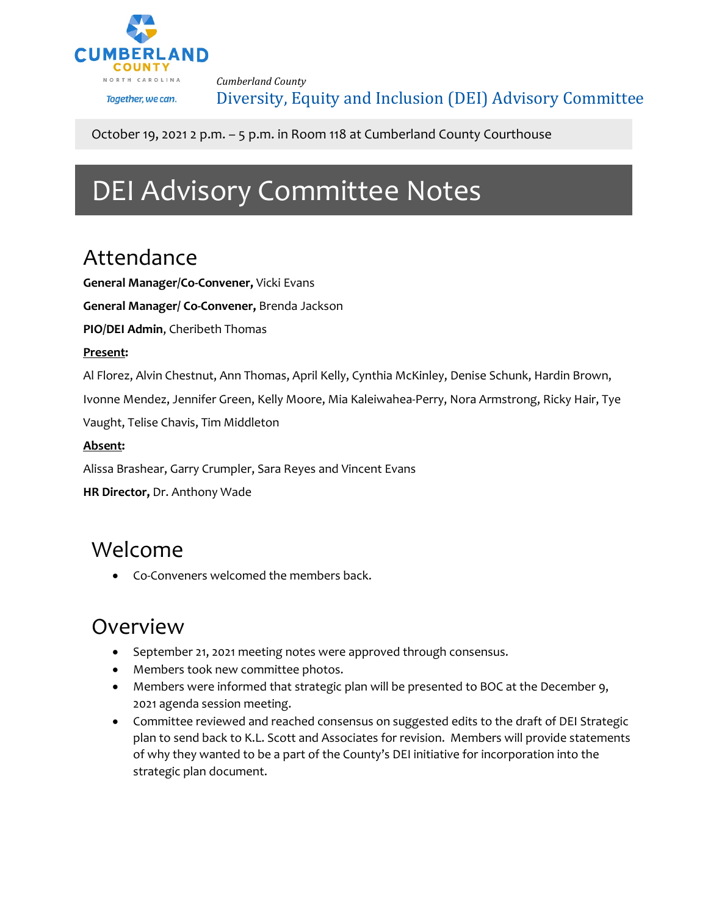

*Cumberland County*

Diversity, Equity and Inclusion (DEI) Advisory Committee

#### October 19, 2021 2 p.m. – 5 p.m. in Room 118 at Cumberland County Courthouse

# DEI Advisory Committee Notes

## Attendance

**General Manager/Co-Convener,** Vicki Evans

**General Manager/ Co-Convener,** Brenda Jackson

**PIO/DEI Admin**, Cheribeth Thomas

#### **Present:**

Al Florez, Alvin Chestnut, Ann Thomas, April Kelly, Cynthia McKinley, Denise Schunk, Hardin Brown,

Ivonne Mendez, Jennifer Green, Kelly Moore, Mia Kaleiwahea-Perry, Nora Armstrong, Ricky Hair, Tye

Vaught, Telise Chavis, Tim Middleton

#### **Absent:**

Alissa Brashear, Garry Crumpler, Sara Reyes and Vincent Evans

**HR Director,** Dr. Anthony Wade

### Welcome

• Co-Conveners welcomed the members back.

### Overview

- September 21, 2021 meeting notes were approved through consensus.
- Members took new committee photos.
- Members were informed that strategic plan will be presented to BOC at the December 9, 2021 agenda session meeting.
- Committee reviewed and reached consensus on suggested edits to the draft of DEI Strategic plan to send back to K.L. Scott and Associates for revision. Members will provide statements of why they wanted to be a part of the County's DEI initiative for incorporation into the strategic plan document.